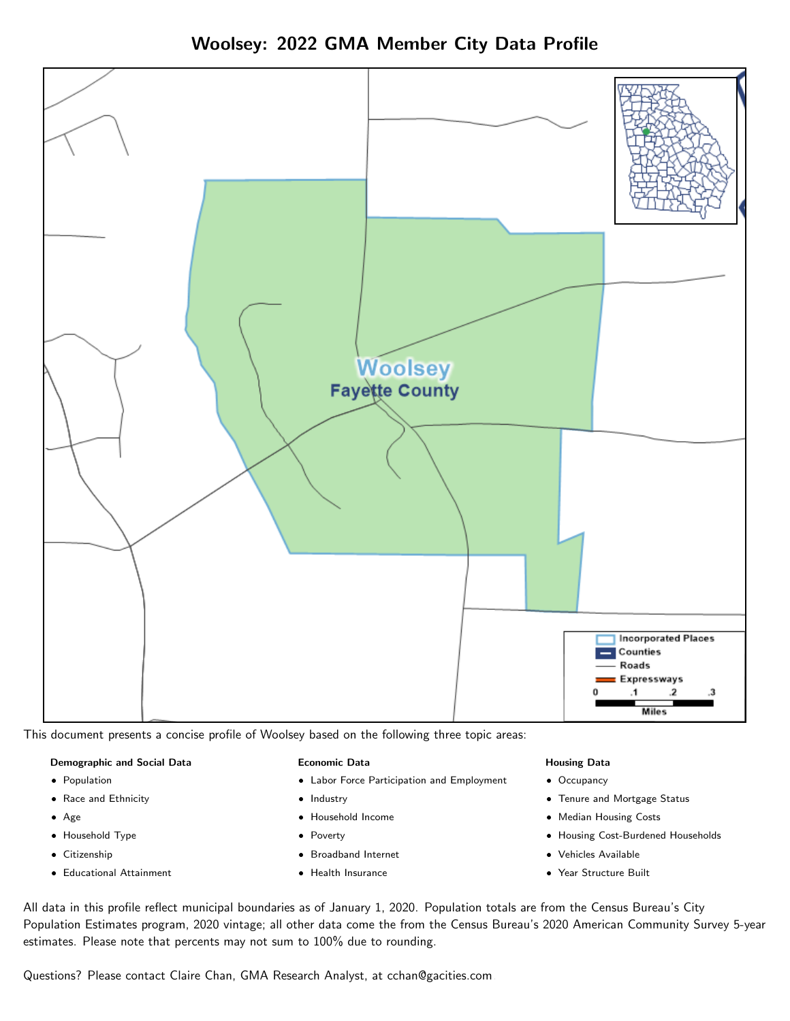



This document presents a concise profile of Woolsey based on the following three topic areas:

#### Demographic and Social Data

- **•** Population
- Race and Ethnicity
- Age
- Household Type
- **Citizenship**
- Educational Attainment

#### Economic Data

- Labor Force Participation and Employment
- Industry
- Household Income
- Poverty
- Broadband Internet
- Health Insurance

#### Housing Data

- Occupancy
- Tenure and Mortgage Status
- Median Housing Costs
- Housing Cost-Burdened Households
- Vehicles Available
- Year Structure Built

All data in this profile reflect municipal boundaries as of January 1, 2020. Population totals are from the Census Bureau's City Population Estimates program, 2020 vintage; all other data come the from the Census Bureau's 2020 American Community Survey 5-year estimates. Please note that percents may not sum to 100% due to rounding.

Questions? Please contact Claire Chan, GMA Research Analyst, at [cchan@gacities.com.](mailto:cchan@gacities.com)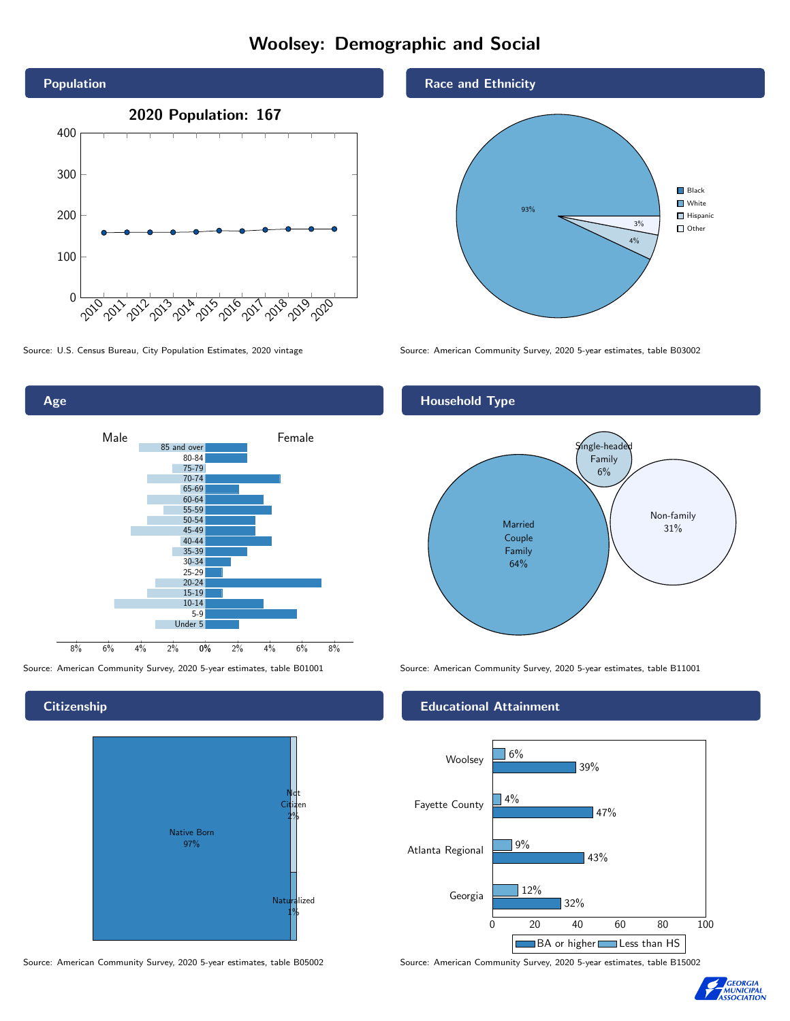# Woolsey: Demographic and Social





### **Citizenship**



Source: American Community Survey, 2020 5-year estimates, table B05002 Source: American Community Survey, 2020 5-year estimates, table B15002

### Race and Ethnicity



Source: U.S. Census Bureau, City Population Estimates, 2020 vintage Source: American Community Survey, 2020 5-year estimates, table B03002

## Household Type



Source: American Community Survey, 2020 5-year estimates, table B01001 Source: American Community Survey, 2020 5-year estimates, table B11001

### Educational Attainment



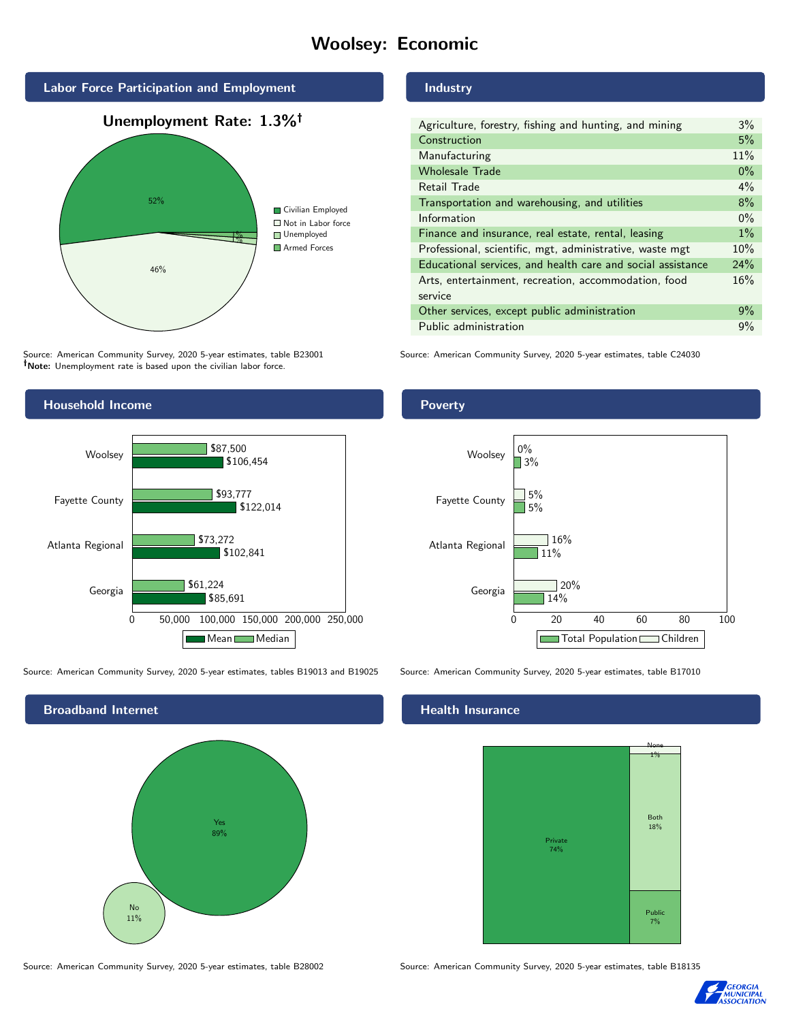# Woolsey: Economic



Source: American Community Survey, 2020 5-year estimates, table B23001 Note: Unemployment rate is based upon the civilian labor force.



Source: American Community Survey, 2020 5-year estimates, tables B19013 and B19025 Source: American Community Survey, 2020 5-year estimates, table B17010



Source: American Community Survey, 2020 5-year estimates, table B28002 Source: American Community Survey, 2020 5-year estimates, table B18135

### Industry

| Agriculture, forestry, fishing and hunting, and mining      | $3\%$ |
|-------------------------------------------------------------|-------|
| Construction                                                | 5%    |
| Manufacturing                                               | 11%   |
| <b>Wholesale Trade</b>                                      | $0\%$ |
| Retail Trade                                                | $4\%$ |
| Transportation and warehousing, and utilities               | 8%    |
| Information                                                 | $0\%$ |
| Finance and insurance, real estate, rental, leasing         | $1\%$ |
| Professional, scientific, mgt, administrative, waste mgt    | 10%   |
| Educational services, and health care and social assistance | 24%   |
| Arts, entertainment, recreation, accommodation, food        | 16%   |
| service                                                     |       |
| Other services, except public administration                | 9%    |
| Public administration                                       | 9%    |

Source: American Community Survey, 2020 5-year estimates, table C24030





### Health Insurance